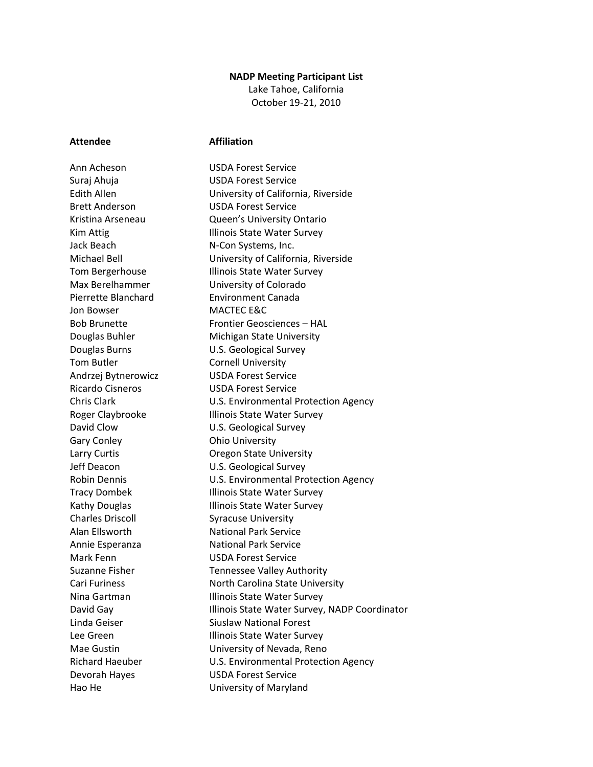## **NADP Meeting Participant List**

Lake Tahoe, California October 19-21, 2010

## **Attendee Affiliation**

Jon Bowser MACTEC E&C Tom Butler **Cornell University** Gary Conley **Cary Conley Cary Conley Cary Conder** Charles Driscoll Syracuse University Hao He University of Maryland

Ann Acheson USDA Forest Service Suraj Ahuja USDA Forest Service Edith Allen University of California, Riverside Brett Anderson USDA Forest Service Kristina Arseneau Queen's University Ontario Kim Attig **Illinois State Water Survey** Jack Beach N-Con Systems, Inc. Michael Bell University of California, Riverside Tom Bergerhouse Illinois State Water Survey Max Berelhammer University of Colorado Pierrette Blanchard Environment Canada Bob Brunette Frontier Geosciences – HAL Douglas Buhler Michigan State University Douglas Burns U.S. Geological Survey Andrzej Bytnerowicz USDA Forest Service Ricardo Cisneros USDA Forest Service Chris Clark U.S. Environmental Protection Agency Roger Claybrooke Illinois State Water Survey David Clow U.S. Geological Survey Larry Curtis **Calculation Contract Contract Contract Contract Contract Contract Contract Contract Contract Contract Contract Contract Contract Contract Contract Contract Contract Contract Contract Contract Contract Contrac** Jeff Deacon U.S. Geological Survey Robin Dennis U.S. Environmental Protection Agency Tracy Dombek Illinois State Water Survey Kathy Douglas **Illinois State Water Survey** Alan Ellsworth National Park Service Annie Esperanza National Park Service Mark Fenn USDA Forest Service Suzanne Fisher Tennessee Valley Authority Cari Furiness North Carolina State University Nina Gartman **Illinois State Water Survey** David Gay **Illinois State Water Survey, NADP Coordinator** Linda Geiser Siuslaw National Forest Lee Green **Illinois State Water Survey** Mae Gustin University of Nevada, Reno Richard Haeuber U.S. Environmental Protection Agency Devorah Hayes USDA Forest Service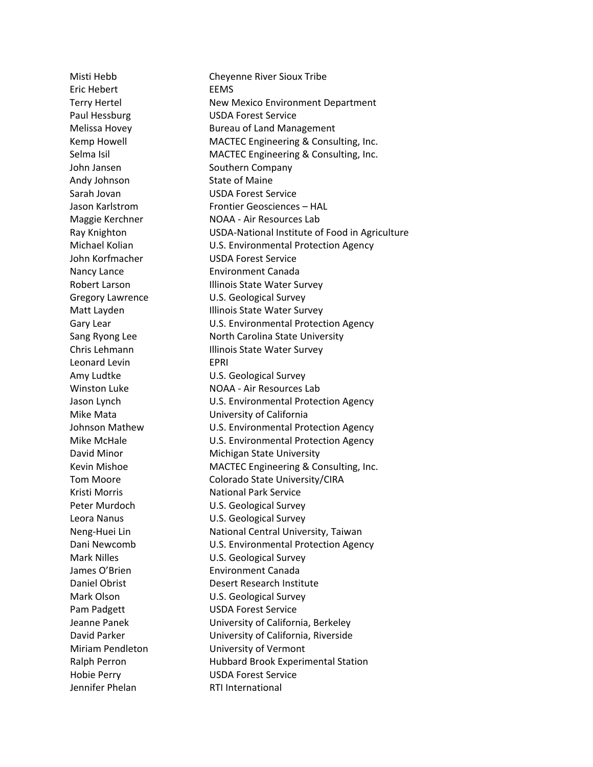Eric Hebert EEMS Andy Johnson State of Maine Leonard Levin **EPRI** Jennifer Phelan RTI International

Misti Hebb Cheyenne River Sioux Tribe Terry Hertel New Mexico Environment Department Paul Hessburg **USDA** Forest Service Melissa Hovey **Bureau of Land Management** Kemp Howell MACTEC Engineering & Consulting, Inc. Selma Isil MACTEC Engineering & Consulting, Inc. John Jansen Southern Company Sarah Jovan USDA Forest Service Jason Karlstrom Frontier Geosciences – HAL Maggie Kerchner NOAA - Air Resources Lab Ray Knighton USDA-National Institute of Food in Agriculture Michael Kolian U.S. Environmental Protection Agency John Korfmacher USDA Forest Service Nancy Lance Environment Canada Robert Larson **Illinois State Water Survey** Gregory Lawrence U.S. Geological Survey Matt Layden **Illinois State Water Survey** Gary Lear **Carrolland Control** U.S. Environmental Protection Agency Sang Ryong Lee North Carolina State University Chris Lehmann Illinois State Water Survey Amy Ludtke U.S. Geological Survey Winston Luke NOAA - Air Resources Lab Jason Lynch U.S. Environmental Protection Agency Mike Mata University of California Johnson Mathew U.S. Environmental Protection Agency Mike McHale **Mike McHale** U.S. Environmental Protection Agency David Minor Michigan State University Kevin Mishoe MACTEC Engineering & Consulting, Inc. Tom Moore Colorado State University/CIRA Kristi Morris National Park Service Peter Murdoch **U.S. Geological Survey** Leora Nanus U.S. Geological Survey Neng-Huei Lin National Central University, Taiwan Dani Newcomb **U.S. Environmental Protection Agency** Mark Nilles **Mark Nilles** U.S. Geological Survey James O'Brien **Environment Canada** Daniel Obrist **Desert Research Institute** Mark Olson **U.S. Geological Survey** Pam Padgett USDA Forest Service Jeanne Panek University of California, Berkeley David Parker University of California, Riverside Miriam Pendleton University of Vermont Ralph Perron **Hubbard Brook Experimental Station** Hobie Perry USDA Forest Service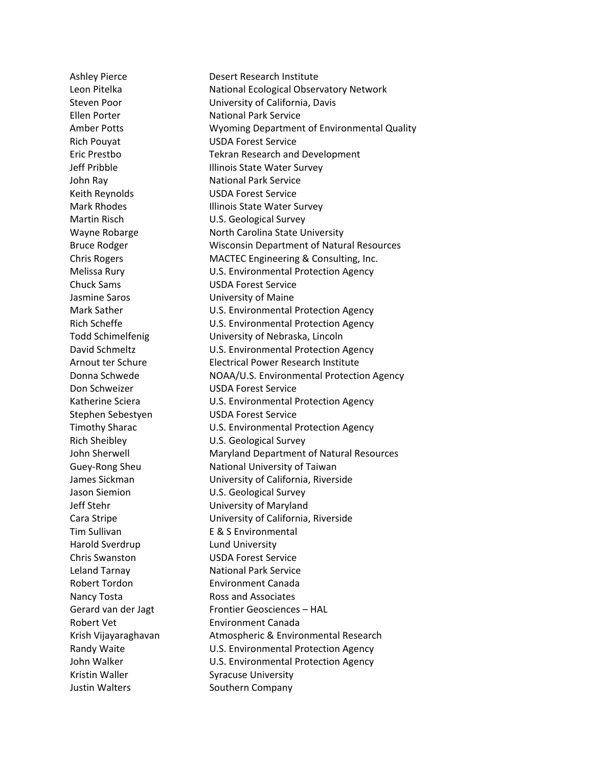Rich Pouyat USDA Forest Service Keith Reynolds USDA Forest Service Chuck Sams USDA Forest Service Jasmine Saros University of Maine Don Schweizer USDA Forest Service Stephen Sebestyen USDA Forest Service Harold Sverdrup Lund University Chris Swanston USDA Forest Service Nancy Tosta **Ross** and Associates Kristin Waller Syracuse University Justin Walters **Southern Company** 

Ashley Pierce **Desert Research Institute** Leon Pitelka **National Ecological Observatory Network** Steven Poor University of California, Davis Ellen Porter National Park Service Amber Potts Wyoming Department of Environmental Quality Eric Prestbo Tekran Research and Development Jeff Pribble **Illinois State Water Survey** John Ray National Park Service Mark Rhodes **Illinois State Water Survey** Martin Risch U.S. Geological Survey Wayne Robarge North Carolina State University Bruce Rodger Wisconsin Department of Natural Resources Chris Rogers MACTEC Engineering & Consulting, Inc. Melissa Rury U.S. Environmental Protection Agency Mark Sather **Mark Sather** U.S. Environmental Protection Agency Rich Scheffe **EXAMORE SCHOOLS** U.S. Environmental Protection Agency Todd Schimelfenig University of Nebraska, Lincoln David Schmeltz **U.S. Environmental Protection Agency** Arnout ter Schure Electrical Power Research Institute Donna Schwede NOAA/U.S. Environmental Protection Agency Katherine Sciera **U.S. Environmental Protection Agency** Timothy Sharac U.S. Environmental Protection Agency Rich Sheibley U.S. Geological Survey John Sherwell Maryland Department of Natural Resources Guey-Rong Sheu National University of Taiwan James Sickman University of California, Riverside Jason Siemion U.S. Geological Survey Jeff Stehr University of Maryland Cara Stripe University of California, Riverside Tim Sullivan E & S Environmental Leland Tarnay National Park Service Robert Tordon Environment Canada Gerard van der Jagt Frontier Geosciences – HAL Robert Vet **Environment Canada** Krish Vijayaraghavan Atmospheric & Environmental Research Randy Waite **National Englisher M.S. Environmental Protection Agency** John Walker **U.S. Environmental Protection Agency**